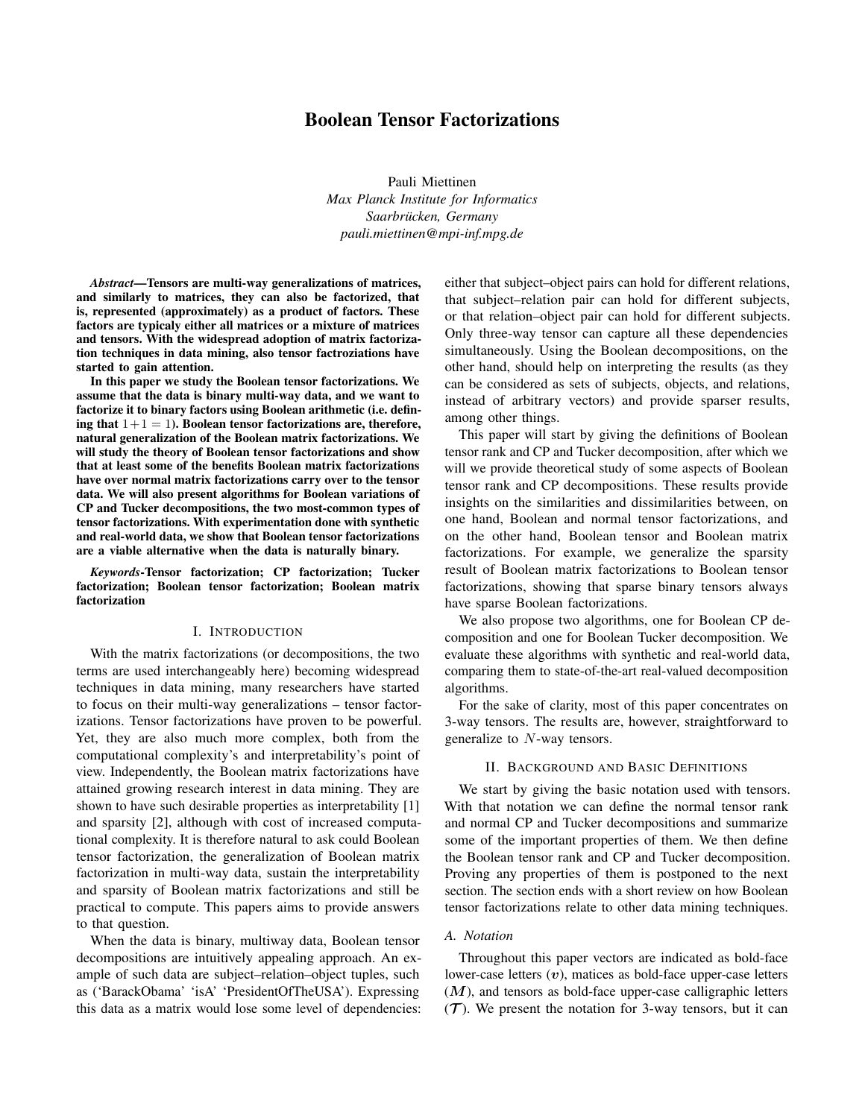# Boolean Tensor Factorizations

Pauli Miettinen *Max Planck Institute for Informatics Saarbrucken, Germany ¨ pauli.miettinen@mpi-inf.mpg.de*

*Abstract*—Tensors are multi-way generalizations of matrices, and similarly to matrices, they can also be factorized, that is, represented (approximately) as a product of factors. These factors are typicaly either all matrices or a mixture of matrices and tensors. With the widespread adoption of matrix factorization techniques in data mining, also tensor factroziations have started to gain attention.

In this paper we study the Boolean tensor factorizations. We assume that the data is binary multi-way data, and we want to factorize it to binary factors using Boolean arithmetic (i.e. defining that  $1+1=1$ ). Boolean tensor factorizations are, therefore, natural generalization of the Boolean matrix factorizations. We will study the theory of Boolean tensor factorizations and show that at least some of the benefits Boolean matrix factorizations have over normal matrix factorizations carry over to the tensor data. We will also present algorithms for Boolean variations of CP and Tucker decompositions, the two most-common types of tensor factorizations. With experimentation done with synthetic and real-world data, we show that Boolean tensor factorizations are a viable alternative when the data is naturally binary.

*Keywords*-Tensor factorization; CP factorization; Tucker factorization; Boolean tensor factorization; Boolean matrix factorization

#### I. INTRODUCTION

With the matrix factorizations (or decompositions, the two terms are used interchangeably here) becoming widespread techniques in data mining, many researchers have started to focus on their multi-way generalizations – tensor factorizations. Tensor factorizations have proven to be powerful. Yet, they are also much more complex, both from the computational complexity's and interpretability's point of view. Independently, the Boolean matrix factorizations have attained growing research interest in data mining. They are shown to have such desirable properties as interpretability [1] and sparsity [2], although with cost of increased computational complexity. It is therefore natural to ask could Boolean tensor factorization, the generalization of Boolean matrix factorization in multi-way data, sustain the interpretability and sparsity of Boolean matrix factorizations and still be practical to compute. This papers aims to provide answers to that question.

When the data is binary, multiway data, Boolean tensor decompositions are intuitively appealing approach. An example of such data are subject–relation–object tuples, such as ('BarackObama' 'isA' 'PresidentOfTheUSA'). Expressing this data as a matrix would lose some level of dependencies:

either that subject–object pairs can hold for different relations, that subject–relation pair can hold for different subjects, or that relation–object pair can hold for different subjects. Only three-way tensor can capture all these dependencies simultaneously. Using the Boolean decompositions, on the other hand, should help on interpreting the results (as they can be considered as sets of subjects, objects, and relations, instead of arbitrary vectors) and provide sparser results, among other things.

This paper will start by giving the definitions of Boolean tensor rank and CP and Tucker decomposition, after which we will we provide theoretical study of some aspects of Boolean tensor rank and CP decompositions. These results provide insights on the similarities and dissimilarities between, on one hand, Boolean and normal tensor factorizations, and on the other hand, Boolean tensor and Boolean matrix factorizations. For example, we generalize the sparsity result of Boolean matrix factorizations to Boolean tensor factorizations, showing that sparse binary tensors always have sparse Boolean factorizations.

We also propose two algorithms, one for Boolean CP decomposition and one for Boolean Tucker decomposition. We evaluate these algorithms with synthetic and real-world data, comparing them to state-of-the-art real-valued decomposition algorithms.

For the sake of clarity, most of this paper concentrates on 3-way tensors. The results are, however, straightforward to generalize to N-way tensors.

## II. BACKGROUND AND BASIC DEFINITIONS

We start by giving the basic notation used with tensors. With that notation we can define the normal tensor rank and normal CP and Tucker decompositions and summarize some of the important properties of them. We then define the Boolean tensor rank and CP and Tucker decomposition. Proving any properties of them is postponed to the next section. The section ends with a short review on how Boolean tensor factorizations relate to other data mining techniques.

# *A. Notation*

Throughout this paper vectors are indicated as bold-face lower-case letters  $(v)$ , matices as bold-face upper-case letters  $(M)$ , and tensors as bold-face upper-case calligraphic letters  $(\mathcal{T})$ . We present the notation for 3-way tensors, but it can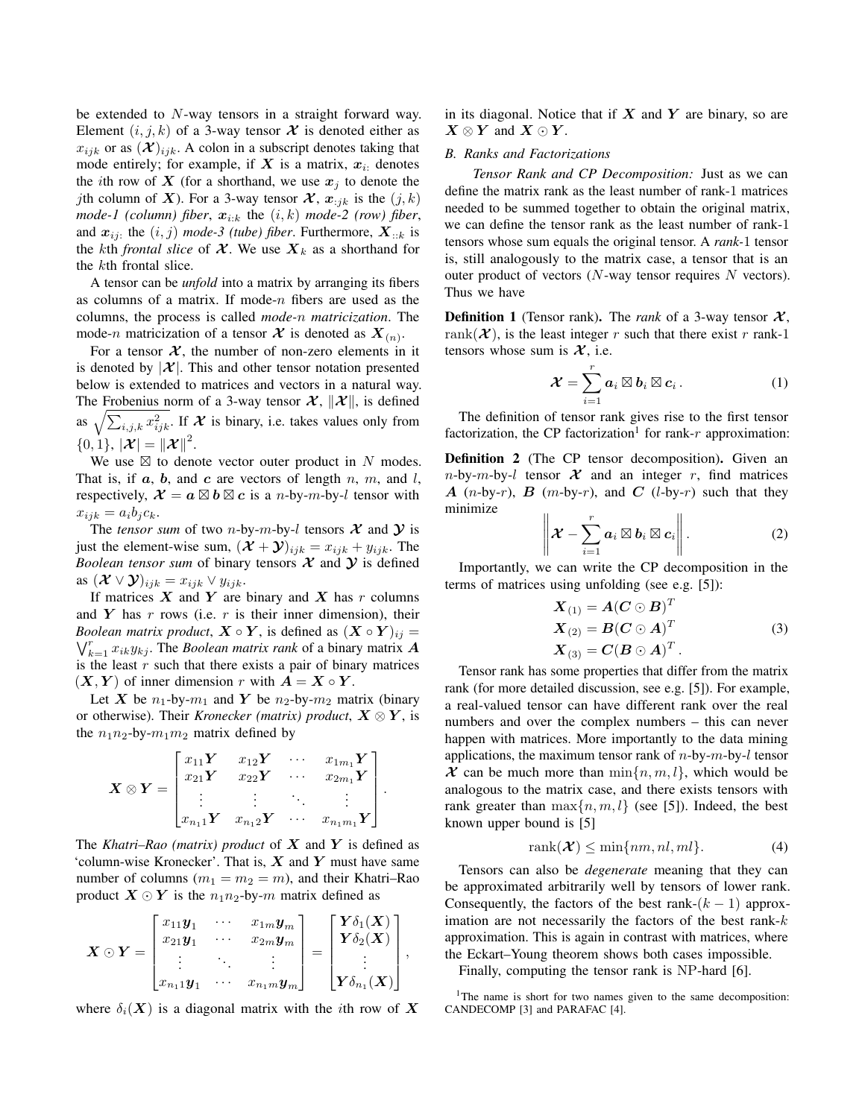be extended to N-way tensors in a straight forward way. Element  $(i, j, k)$  of a 3-way tensor  $\mathcal X$  is denoted either as  $x_{ijk}$  or as  $(X)_{ijk}$ . A colon in a subscript denotes taking that mode entirely; for example, if X is a matrix,  $x_i$ : denotes the *i*th row of X (for a shorthand, we use  $x_i$  to denote the jth column of X). For a 3-way tensor  $\mathcal{X}, x_{:jk}$  is the  $(j, k)$ *mode-1 (column) fiber,*  $x_{i:k}$  the  $(i, k)$  *mode-2 (row) fiber,* and  $x_{ij}$ : the  $(i, j)$  *mode-3 (tube) fiber*. Furthermore,  $X_{::k}$  is the kth *frontal slice* of  $\mathcal{X}$ . We use  $X_k$  as a shorthand for the kth frontal slice.

A tensor can be *unfold* into a matrix by arranging its fibers as columns of a matrix. If mode- $n$  fibers are used as the columns, the process is called *mode-*n *matricization*. The mode-n matricization of a tensor  $\mathcal{X}$  is denoted as  $X_{(n)}$ .

For a tensor  $X$ , the number of non-zero elements in it is denoted by  $|\mathcal{X}|$ . This and other tensor notation presented below is extended to matrices and vectors in a natural way. The Frobenius norm of a 3-way tensor  $\mathcal{X}, \|\mathcal{X}\|$ , is defined as  $\sqrt{\sum_{i,j,k} x_{ijk}^2}$ . If  $\mathcal X$  is binary, i.e. takes values only from  ${0, 1}, |\mathcal{X}| = ||\mathcal{X}||^2.$ 

We use  $\boxtimes$  to denote vector outer product in N modes. That is, if  $a, b$ , and  $c$  are vectors of length  $n, m$ , and  $l$ , respectively,  $\mathcal{X} = a \boxtimes b \boxtimes c$  is a *n*-by-*m*-by-*l* tensor with  $x_{ijk} = a_i b_j c_k.$ 

The *tensor sum* of two *n*-by-*m*-by-*l* tensors  $X$  and  $Y$  is just the element-wise sum,  $(\mathcal{X} + \mathcal{Y})_{ijk} = x_{ijk} + y_{ijk}$ . The *Boolean tensor sum* of binary tensors  $X$  and  $Y$  is defined as  $(\mathcal{X} \vee \mathcal{Y})_{ijk} = x_{ijk} \vee y_{ijk}.$ 

If matrices  $X$  and  $Y$  are binary and  $X$  has  $r$  columns and  $Y$  has  $r$  rows (i.e.  $r$  is their inner dimension), their *Boolean matrix product*,  $X \circ Y$ , is defined as  $(X \circ Y)_{ij} =$  $\bigvee_{k=1}^{r} x_{ik}y_{kj}$ . The *Boolean matrix rank* of a binary matrix **A** is the least  $r$  such that there exists a pair of binary matrices  $(X, Y)$  of inner dimension r with  $A = X \circ Y$ .

Let X be  $n_1$ -by- $m_1$  and Y be  $n_2$ -by- $m_2$  matrix (binary or otherwise). Their *Kronecker (matrix) product*,  $X \otimes Y$ , is the  $n_1n_2$ -by- $m_1m_2$  matrix defined by

$$
\boldsymbol{X} \otimes \boldsymbol{Y} = \begin{bmatrix} x_{11} \boldsymbol{Y} & x_{12} \boldsymbol{Y} & \cdots & x_{1m_1} \boldsymbol{Y} \\ x_{21} \boldsymbol{Y} & x_{22} \boldsymbol{Y} & \cdots & x_{2m_1} \boldsymbol{Y} \\ \vdots & \vdots & \ddots & \vdots \\ x_{n_1 1} \boldsymbol{Y} & x_{n_1 2} \boldsymbol{Y} & \cdots & x_{n_1 m_1} \boldsymbol{Y} \end{bmatrix}.
$$

The *Khatri–Rao (matrix) product* of  $X$  and  $Y$  is defined as 'column-wise Kronecker'. That is,  $X$  and  $Y$  must have same number of columns ( $m_1 = m_2 = m$ ), and their Khatri–Rao product  $X \odot Y$  is the  $n_1 n_2$ -by-m matrix defined as

$$
\boldsymbol{X} \odot \boldsymbol{Y} = \begin{bmatrix} x_{11} \boldsymbol{y}_1 & \cdots & x_{1m} \boldsymbol{y}_m \\ x_{21} \boldsymbol{y}_1 & \cdots & x_{2m} \boldsymbol{y}_m \\ \vdots & \ddots & \vdots \\ x_{n_11} \boldsymbol{y}_1 & \cdots & x_{n_1m} \boldsymbol{y}_m \end{bmatrix} = \begin{bmatrix} \boldsymbol{Y} \delta_1(\boldsymbol{X}) \\ \boldsymbol{Y} \delta_2(\boldsymbol{X}) \\ \vdots \\ \boldsymbol{Y} \delta_{n_1}(\boldsymbol{X}) \end{bmatrix},
$$

where  $\delta_i(X)$  is a diagonal matrix with the *i*th row of X

in its diagonal. Notice that if  $X$  and  $Y$  are binary, so are  $X \otimes Y$  and  $X \odot Y$ .

# *B. Ranks and Factorizations*

*Tensor Rank and CP Decomposition:* Just as we can define the matrix rank as the least number of rank-1 matrices needed to be summed together to obtain the original matrix, we can define the tensor rank as the least number of rank-1 tensors whose sum equals the original tensor. A *rank-*1 tensor is, still analogously to the matrix case, a tensor that is an outer product of vectors  $(N$ -way tensor requires N vectors). Thus we have

**Definition 1** (Tensor rank). The *rank* of a 3-way tensor  $\mathcal{X}$ , rank( $\mathcal{X}$ ), is the least integer r such that there exist r rank-1 tensors whose sum is  $\mathcal{X}$ , i.e.

$$
\boldsymbol{\mathcal{X}} = \sum_{i=1}^r \boldsymbol{a}_i \boxtimes \boldsymbol{b}_i \boxtimes \boldsymbol{c}_i. \tag{1}
$$

The definition of tensor rank gives rise to the first tensor factorization, the CP factorization<sup>1</sup> for rank- $r$  approximation:

Definition 2 (The CP tensor decomposition). Given an  $n$ -by- $m$ -by- $l$  tensor  $\mathcal X$  and an integer  $r$ , find matrices A (n-by-r), B (m-by-r), and C (l-by-r) such that they minimize

$$
\left\|\boldsymbol{\mathcal{X}}-\sum_{i=1}^r \boldsymbol{a}_i\boxtimes \boldsymbol{b}_i\boxtimes \boldsymbol{c}_i\right\|.
$$
 (2)

Importantly, we can write the CP decomposition in the terms of matrices using unfolding (see e.g. [5]):

$$
\mathbf{X}_{(1)} = \mathbf{A}(\mathbf{C} \odot \mathbf{B})^T
$$
  
\n
$$
\mathbf{X}_{(2)} = \mathbf{B}(\mathbf{C} \odot \mathbf{A})^T
$$
  
\n
$$
\mathbf{X}_{(3)} = \mathbf{C}(\mathbf{B} \odot \mathbf{A})^T.
$$
\n(3)

Tensor rank has some properties that differ from the matrix rank (for more detailed discussion, see e.g. [5]). For example, a real-valued tensor can have different rank over the real numbers and over the complex numbers – this can never happen with matrices. More importantly to the data mining applications, the maximum tensor rank of  $n$ -by- $m$ -by- $l$  tensor  $\mathcal X$  can be much more than  $\min\{n, m, l\}$ , which would be analogous to the matrix case, and there exists tensors with rank greater than  $\max\{n, m, l\}$  (see [5]). Indeed, the best known upper bound is [5]

$$
rank(\mathcal{X}) \le \min\{nm, nl, ml\}.
$$
 (4)

Tensors can also be *degenerate* meaning that they can be approximated arbitrarily well by tensors of lower rank. Consequently, the factors of the best rank- $(k-1)$  approximation are not necessarily the factors of the best rank- $k$ approximation. This is again in contrast with matrices, where the Eckart–Young theorem shows both cases impossible.

Finally, computing the tensor rank is NP-hard [6].

<sup>1</sup>The name is short for two names given to the same decomposition: CANDECOMP [3] and PARAFAC [4].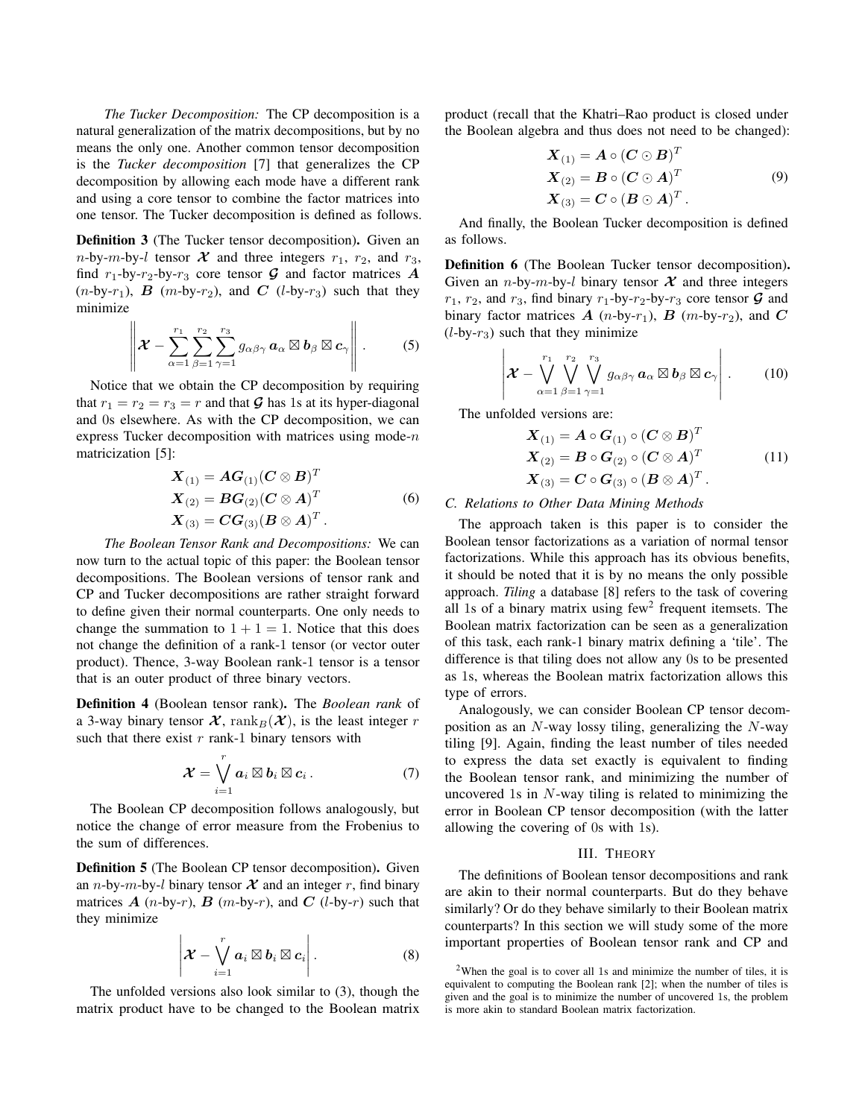*The Tucker Decomposition:* The CP decomposition is a natural generalization of the matrix decompositions, but by no means the only one. Another common tensor decomposition is the *Tucker decomposition* [7] that generalizes the CP decomposition by allowing each mode have a different rank and using a core tensor to combine the factor matrices into one tensor. The Tucker decomposition is defined as follows.

Definition 3 (The Tucker tensor decomposition). Given an *n*-by-*m*-by-*l* tensor  $\mathcal X$  and three integers  $r_1$ ,  $r_2$ , and  $r_3$ , find  $r_1$ -by- $r_2$ -by- $r_3$  core tensor  $\mathcal G$  and factor matrices  $\mathcal A$  $(n-by-r_1)$ , B  $(m-by-r_2)$ , and C  $(l-by-r_3)$  such that they minimize

$$
\left\|\boldsymbol{\mathcal{X}}-\sum_{\alpha=1}^{r_1}\sum_{\beta=1}^{r_2}\sum_{\gamma=1}^{r_3}g_{\alpha\beta\gamma}\,\boldsymbol{a}_{\alpha}\boxtimes\boldsymbol{b}_{\beta}\boxtimes\boldsymbol{c}_{\gamma}\right\|.\qquad \qquad (5)
$$

Notice that we obtain the CP decomposition by requiring that  $r_1 = r_2 = r_3 = r$  and that  $\mathcal G$  has 1s at its hyper-diagonal and 0s elsewhere. As with the CP decomposition, we can express Tucker decomposition with matrices using mode- $n$ matricization [5]:

$$
\mathbf{X}_{(1)} = \mathbf{A}\mathbf{G}_{(1)}(\mathbf{C} \otimes \mathbf{B})^T
$$
  
\n
$$
\mathbf{X}_{(2)} = \mathbf{B}\mathbf{G}_{(2)}(\mathbf{C} \otimes \mathbf{A})^T
$$
  
\n
$$
\mathbf{X}_{(3)} = \mathbf{C}\mathbf{G}_{(3)}(\mathbf{B} \otimes \mathbf{A})^T.
$$
 (6)

*The Boolean Tensor Rank and Decompositions:* We can now turn to the actual topic of this paper: the Boolean tensor decompositions. The Boolean versions of tensor rank and CP and Tucker decompositions are rather straight forward to define given their normal counterparts. One only needs to change the summation to  $1 + 1 = 1$ . Notice that this does not change the definition of a rank-1 tensor (or vector outer product). Thence, 3-way Boolean rank-1 tensor is a tensor that is an outer product of three binary vectors.

Definition 4 (Boolean tensor rank). The *Boolean rank* of a 3-way binary tensor  $\mathcal{X}$ , rank $_B(\mathcal{X})$ , is the least integer r such that there exist  $r$  rank-1 binary tensors with

$$
\mathcal{X} = \bigvee_{i=1}^r a_i \boxtimes b_i \boxtimes c_i.
$$
 (7)

The Boolean CP decomposition follows analogously, but notice the change of error measure from the Frobenius to the sum of differences.

Definition 5 (The Boolean CP tensor decomposition). Given an *n*-by-*m*-by-*l* binary tensor  $X$  and an integer r, find binary matrices  $A$  (n-by-r),  $B$  (m-by-r), and  $C$  (l-by-r) such that they minimize

$$
\left|\mathcal{X}-\bigvee_{i=1}^r a_i\boxtimes b_i\boxtimes c_i\right|.\tag{8}
$$

The unfolded versions also look similar to (3), though the matrix product have to be changed to the Boolean matrix product (recall that the Khatri–Rao product is closed under the Boolean algebra and thus does not need to be changed):

$$
\mathbf{X}_{(1)} = \mathbf{A} \circ (\mathbf{C} \odot \mathbf{B})^T
$$
  
\n
$$
\mathbf{X}_{(2)} = \mathbf{B} \circ (\mathbf{C} \odot \mathbf{A})^T
$$
  
\n
$$
\mathbf{X}_{(3)} = \mathbf{C} \circ (\mathbf{B} \odot \mathbf{A})^T.
$$
  
\n(9)

And finally, the Boolean Tucker decomposition is defined as follows.

Definition 6 (The Boolean Tucker tensor decomposition). Given an *n*-by-*m*-by-*l* binary tensor  $X$  and three integers  $r_1$ ,  $r_2$ , and  $r_3$ , find binary  $r_1$ -by- $r_2$ -by- $r_3$  core tensor  $\mathcal G$  and binary factor matrices  $A$  (n-by- $r_1$ ),  $B$  (m-by- $r_2$ ), and  $C$  $(l$ -by- $r_3)$  such that they minimize

$$
\left|\mathcal{X}-\bigvee_{\alpha=1}^{r_1}\bigvee_{\beta=1}^{r_2}\bigvee_{\gamma=1}^{r_3}g_{\alpha\beta\gamma}\mathbf{a}_{\alpha}\boxtimes\mathbf{b}_{\beta}\boxtimes\mathbf{c}_{\gamma}\right|.
$$
 (10)

The unfolded versions are:

$$
\mathbf{X}_{(1)} = \mathbf{A} \circ \mathbf{G}_{(1)} \circ (\mathbf{C} \otimes \mathbf{B})^T
$$
  
\n
$$
\mathbf{X}_{(2)} = \mathbf{B} \circ \mathbf{G}_{(2)} \circ (\mathbf{C} \otimes \mathbf{A})^T
$$
  
\n
$$
\mathbf{X}_{(3)} = \mathbf{C} \circ \mathbf{G}_{(3)} \circ (\mathbf{B} \otimes \mathbf{A})^T.
$$
\n(11)

## *C. Relations to Other Data Mining Methods*

The approach taken is this paper is to consider the Boolean tensor factorizations as a variation of normal tensor factorizations. While this approach has its obvious benefits, it should be noted that it is by no means the only possible approach. *Tiling* a database [8] refers to the task of covering all 1s of a binary matrix using  $few<sup>2</sup>$  frequent itemsets. The Boolean matrix factorization can be seen as a generalization of this task, each rank-1 binary matrix defining a 'tile'. The difference is that tiling does not allow any 0s to be presented as 1s, whereas the Boolean matrix factorization allows this type of errors.

Analogously, we can consider Boolean CP tensor decomposition as an N-way lossy tiling, generalizing the N-way tiling [9]. Again, finding the least number of tiles needed to express the data set exactly is equivalent to finding the Boolean tensor rank, and minimizing the number of uncovered 1s in  $N$ -way tiling is related to minimizing the error in Boolean CP tensor decomposition (with the latter allowing the covering of 0s with 1s).

#### III. THEORY

The definitions of Boolean tensor decompositions and rank are akin to their normal counterparts. But do they behave similarly? Or do they behave similarly to their Boolean matrix counterparts? In this section we will study some of the more important properties of Boolean tensor rank and CP and

<sup>&</sup>lt;sup>2</sup>When the goal is to cover all 1s and minimize the number of tiles, it is equivalent to computing the Boolean rank [2]; when the number of tiles is given and the goal is to minimize the number of uncovered 1s, the problem is more akin to standard Boolean matrix factorization.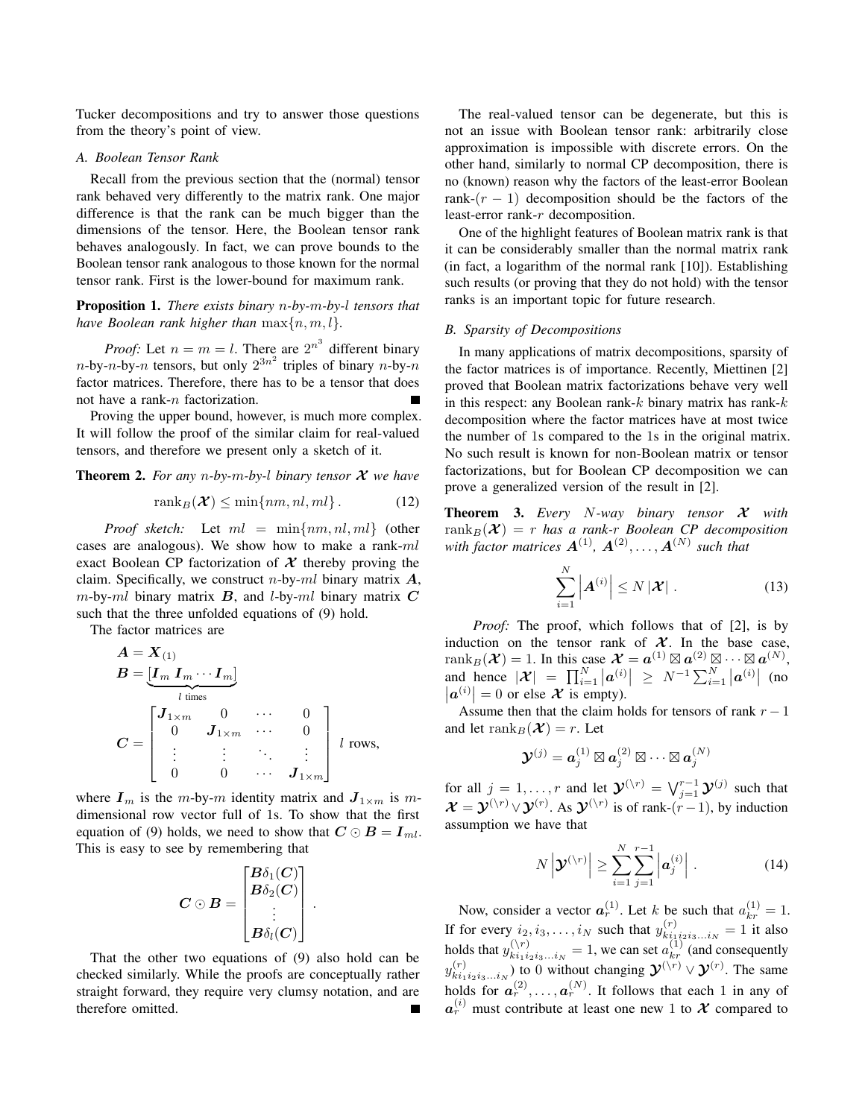Tucker decompositions and try to answer those questions from the theory's point of view.

# *A. Boolean Tensor Rank*

Recall from the previous section that the (normal) tensor rank behaved very differently to the matrix rank. One major difference is that the rank can be much bigger than the dimensions of the tensor. Here, the Boolean tensor rank behaves analogously. In fact, we can prove bounds to the Boolean tensor rank analogous to those known for the normal tensor rank. First is the lower-bound for maximum rank.

Proposition 1. *There exists binary* n*-by-*m*-by-*l *tensors that have Boolean rank higher than*  $\max\{n, m, l\}$ .

*Proof:* Let  $n = m = l$ . There are  $2^{n^3}$  different binary  $n$ -by- $n$ -by- $n$  tensors, but only  $2^{3n^2}$  triples of binary  $n$ -by- $n$ factor matrices. Therefore, there has to be a tensor that does not have a rank-n factorization.

Proving the upper bound, however, is much more complex. It will follow the proof of the similar claim for real-valued tensors, and therefore we present only a sketch of it.

Theorem 2. *For any* n*-by-*m*-by-*l *binary tensor* X *we have*

$$
rank_B(\mathcal{X}) \le \min\{nm, nl, ml\}.
$$
 (12)

*Proof sketch:* Let ml = min{nm, nl, ml} (other cases are analogous). We show how to make a rank-ml exact Boolean CP factorization of  $X$  thereby proving the claim. Specifically, we construct *n*-by-*ml* binary matrix  $\boldsymbol{A}$ ,  $m$ -by-ml binary matrix  $B$ , and l-by-ml binary matrix  $C$ such that the three unfolded equations of (9) hold.

The factor matrices are

$$
A = X(1)
$$
  
\n
$$
B = \underbrace{[I_m I_m \cdots I_m]}_{l \text{ times}}
$$
  
\n
$$
C = \begin{bmatrix} J_{1 \times m} & 0 & \cdots & 0 \\ 0 & J_{1 \times m} & \cdots & 0 \\ \vdots & \vdots & \ddots & \vdots \\ 0 & 0 & \cdots & J_{1 \times m} \end{bmatrix} l \text{ rows,}
$$

where  $I_m$  is the m-by-m identity matrix and  $J_{1 \times m}$  is mdimensional row vector full of 1s. To show that the first equation of (9) holds, we need to show that  $C \odot B = I_{ml}$ . This is easy to see by remembering that

$$
\boldsymbol{C}\odot\boldsymbol{B}=\begin{bmatrix}\boldsymbol{B}\delta_1(\boldsymbol{C})\\ \boldsymbol{B}\delta_2(\boldsymbol{C})\\\vdots\\ \boldsymbol{B}\delta_l(\boldsymbol{C})\end{bmatrix}\,.
$$

That the other two equations of (9) also hold can be checked similarly. While the proofs are conceptually rather straight forward, they require very clumsy notation, and are therefore omitted.

The real-valued tensor can be degenerate, but this is not an issue with Boolean tensor rank: arbitrarily close approximation is impossible with discrete errors. On the other hand, similarly to normal CP decomposition, there is no (known) reason why the factors of the least-error Boolean rank- $(r - 1)$  decomposition should be the factors of the least-error rank-r decomposition.

One of the highlight features of Boolean matrix rank is that it can be considerably smaller than the normal matrix rank (in fact, a logarithm of the normal rank [10]). Establishing such results (or proving that they do not hold) with the tensor ranks is an important topic for future research.

#### *B. Sparsity of Decompositions*

In many applications of matrix decompositions, sparsity of the factor matrices is of importance. Recently, Miettinen [2] proved that Boolean matrix factorizations behave very well in this respect: any Boolean rank- $k$  binary matrix has rank- $k$ decomposition where the factor matrices have at most twice the number of 1s compared to the 1s in the original matrix. No such result is known for non-Boolean matrix or tensor factorizations, but for Boolean CP decomposition we can prove a generalized version of the result in [2].

Theorem 3. *Every* N*-way binary tensor* X *with*  $rank_B(\mathcal{X}) = r$  *has a rank-r Boolean CP decomposition* with factor matrices  $\boldsymbol{A}^{(1)}$ ,  $\boldsymbol{A}^{(2)}, \dots, \boldsymbol{A}^{(N)}$  such that

$$
\sum_{i=1}^{N} \left| \boldsymbol{A}^{(i)} \right| \leq N \left| \boldsymbol{\mathcal{X}} \right| \,. \tag{13}
$$

*Proof:* The proof, which follows that of [2], is by induction on the tensor rank of  $X$ . In the base case, rank $_B(\mathcal{X}) = 1$ . In this case  $\mathcal{X} = a^{(1)} \boxtimes a^{(2)} \boxtimes \cdots \boxtimes a^{(N)}$ , and hence  $|\mathcal{X}| = \prod_{i=1}^{N} |\mathbf{a}^{(i)}| \geq N^{-1} \sum_{i=1}^{N} |\mathbf{a}^{(i)}|$  (no  $|\boldsymbol{a}^{(i)}|=0$  or else  $\boldsymbol{\mathcal{X}}$  is empty).

Assume then that the claim holds for tensors of rank  $r - 1$ and let rank $_B(\mathcal{X}) = r$ . Let

$$
\boldsymbol{\mathcal{Y}}^{(j)} = \boldsymbol{a}_j^{(1)} \boxtimes \boldsymbol{a}_j^{(2)} \boxtimes \cdots \boxtimes \boldsymbol{a}_j^{(N)}
$$

for all  $j = 1, ..., r$  and let  $\mathcal{Y}^{(\backslash r)} = \bigvee_{j=1}^{r-1} \mathcal{Y}^{(j)}$  such that  $\mathcal{X} = \mathcal{Y}^{(\n\ \ r)} \vee \mathcal{Y}^{(r)}$ . As  $\mathcal{Y}^{(\n\ \ r)}$  is of rank- $(r-1)$ , by induction assumption we have that

$$
N\left|\mathbf{\mathcal{Y}}^{(\backslash r)}\right| \geq \sum_{i=1}^{N} \sum_{j=1}^{r-1} \left|\boldsymbol{a}_{j}^{(i)}\right| . \tag{14}
$$

Now, consider a vector  $a_r^{(1)}$ . Let k be such that  $a_{kr}^{(1)} = 1$ . If for every  $i_2, i_3, \ldots, i_N$  such that  $y_{ki_1}^{(r)}$  $\sum_{k=1}^{(r)} i_{1}^{i_{2}^{i_{3}}...i_{N}} = 1$  it also holds that  $y_{ki_1i}^{(\n) r}$  $\binom{n}{k_1}$   $\binom{n}{k_1}$   $\binom{n}{k}$  and consequently  $y_{ki_1}^{(r)}$  $(x_i^{(r)})_{k_1 i_2 i_3...i_N}$  to 0 without changing  $\mathcal{Y}^{(\n\gamma)} \vee \mathcal{Y}^{(r)}$ . The same holds for  $a_r^{(2)}, \ldots, a_r^{(N)}$ . It follows that each 1 in any of  $a_r^{(i)}$  must contribute at least one new 1 to X compared to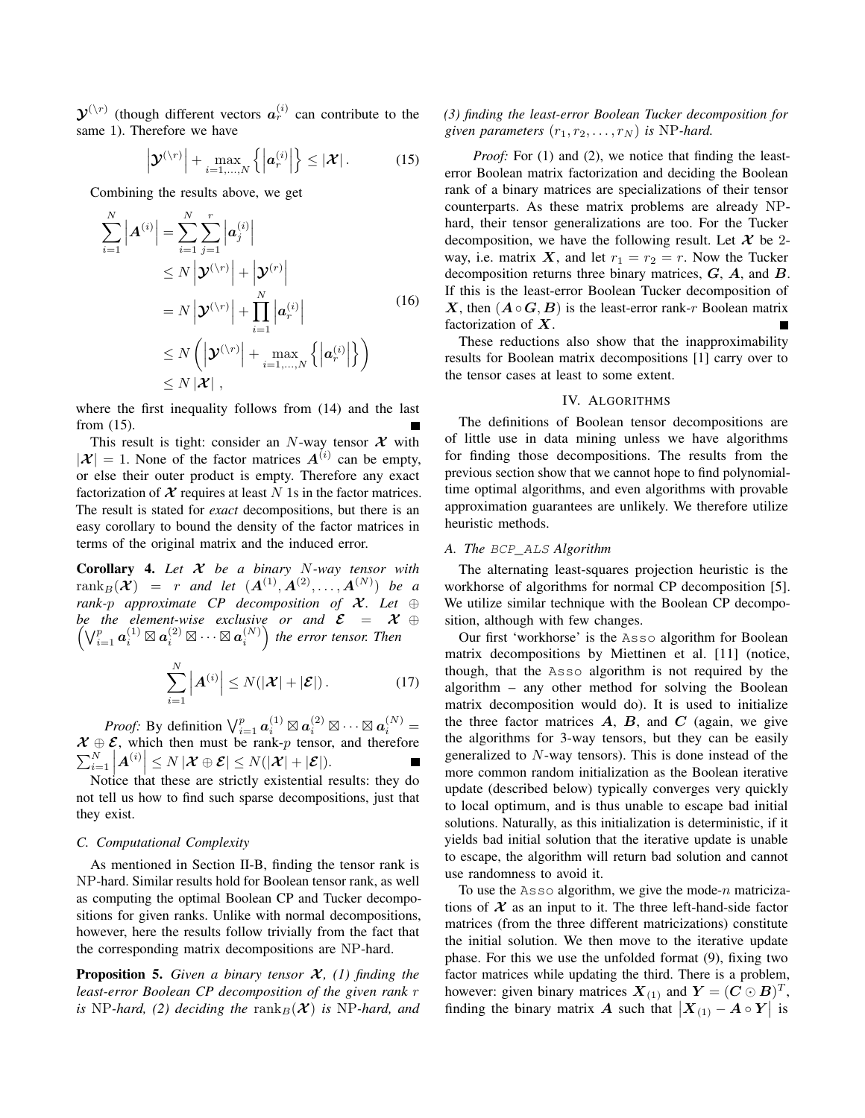$\mathcal{Y}^{(\backslash r)}$  (though different vectors  $a_r^{(i)}$  can contribute to the same 1). Therefore we have

$$
\left|\boldsymbol{\mathcal{Y}}^{(\backslash r)}\right|+\max_{i=1,\ldots,N}\left\{\left|\boldsymbol{a}_r^{(i)}\right|\right\}\leq\left|\boldsymbol{\mathcal{X}}\right|.\tag{15}
$$

Combining the results above, we get

$$
\sum_{i=1}^{N} |A^{(i)}| = \sum_{i=1}^{N} \sum_{j=1}^{r} |a_j^{(i)}|
$$
\n
$$
\leq N \left| \mathbf{y}^{(\backslash r)} \right| + \left| \mathbf{y}^{(r)} \right|
$$
\n
$$
= N \left| \mathbf{y}^{(\backslash r)} \right| + \prod_{i=1}^{N} \left| a_r^{(i)} \right|
$$
\n
$$
\leq N \left( \left| \mathbf{y}^{(\backslash r)} \right| + \max_{i=1,\dots,N} \left\{ \left| a_r^{(i)} \right| \right\} \right)
$$
\n
$$
\leq N \left| \mathbf{x} \right|,
$$
\n(16)

where the first inequality follows from (14) and the last from (15).

This result is tight: consider an N-way tensor  $X$  with  $|\mathcal{X}| = 1$ . None of the factor matrices  $A^{(i)}$  can be empty, or else their outer product is empty. Therefore any exact factorization of  $X$  requires at least N 1s in the factor matrices. The result is stated for *exact* decompositions, but there is an easy corollary to bound the density of the factor matrices in terms of the original matrix and the induced error.

Corollary 4. *Let* X *be a binary* N*-way tensor with*  $\mathrm{rank}_B(\mathcal{X}) = r$  and let  $(\mathcal{A}^{(1)}, \mathcal{A}^{(2)}, \ldots, \mathcal{A}^{(N)})$  be a *rank-p approximate* CP *decomposition of*  $X$ *. Let* ⊕  $\sqrt{ }$ *be the element-wise exclusive or and* E = X ⊕  $\bigvee_{i=1}^p \bm{a}^{(1)}_i \boxtimes \bm{a}^{(2)}_i \boxtimes \cdots \boxtimes \bm{a}^{(N)}_i \Big)$  the error tensor. Then

$$
\sum_{i=1}^{N} \left| \boldsymbol{A}^{(i)} \right| \leq N(|\boldsymbol{\mathcal{X}}| + |\boldsymbol{\mathcal{E}}|). \tag{17}
$$

*Proof:* By definition  $\bigvee_{i=1}^p a_i^{(1)} \boxtimes a_i^{(2)} \boxtimes \cdots \boxtimes a_i^{(N)} =$  $X \oplus \mathcal{E}$ , which then must be rank-p tensor, and therefore  $\sum_{i=1}^N \left| A^{(i)} \right| \leq N \left| \mathcal{X} \oplus \mathcal{E} \right| \leq N(|\mathcal{X}| + |\mathcal{E}|).$ <br>Notice that these are strictly existential as

Notice that these are strictly existential results: they do not tell us how to find such sparse decompositions, just that they exist.

# *C. Computational Complexity*

As mentioned in Section II-B, finding the tensor rank is NP-hard. Similar results hold for Boolean tensor rank, as well as computing the optimal Boolean CP and Tucker decompositions for given ranks. Unlike with normal decompositions, however, here the results follow trivially from the fact that the corresponding matrix decompositions are NP-hard.

**Proposition 5.** *Given a binary tensor*  $\mathcal{X}$ *, (1) finding the least-error Boolean CP decomposition of the given rank* r *is* NP-hard, (2) deciding the rank $_B(\mathcal{X})$  *is* NP-hard, and *(3) finding the least-error Boolean Tucker decomposition for given parameters*  $(r_1, r_2, \ldots, r_N)$  *is* NP-hard.

*Proof:* For (1) and (2), we notice that finding the leasterror Boolean matrix factorization and deciding the Boolean rank of a binary matrices are specializations of their tensor counterparts. As these matrix problems are already NPhard, their tensor generalizations are too. For the Tucker decomposition, we have the following result. Let  $\mathcal X$  be 2way, i.e. matrix X, and let  $r_1 = r_2 = r$ . Now the Tucker decomposition returns three binary matrices, G, A, and B. If this is the least-error Boolean Tucker decomposition of X, then  $(A \circ G, B)$  is the least-error rank-r Boolean matrix factorization of  $X$ .

These reductions also show that the inapproximability results for Boolean matrix decompositions [1] carry over to the tensor cases at least to some extent.

## IV. ALGORITHMS

The definitions of Boolean tensor decompositions are of little use in data mining unless we have algorithms for finding those decompositions. The results from the previous section show that we cannot hope to find polynomialtime optimal algorithms, and even algorithms with provable approximation guarantees are unlikely. We therefore utilize heuristic methods.

# *A. The* BCP\_ALS *Algorithm*

The alternating least-squares projection heuristic is the workhorse of algorithms for normal CP decomposition [5]. We utilize similar technique with the Boolean CP decomposition, although with few changes.

Our first 'workhorse' is the Asso algorithm for Boolean matrix decompositions by Miettinen et al. [11] (notice, though, that the Asso algorithm is not required by the algorithm – any other method for solving the Boolean matrix decomposition would do). It is used to initialize the three factor matrices  $A$ ,  $B$ , and  $C$  (again, we give the algorithms for 3-way tensors, but they can be easily generalized to N-way tensors). This is done instead of the more common random initialization as the Boolean iterative update (described below) typically converges very quickly to local optimum, and is thus unable to escape bad initial solutions. Naturally, as this initialization is deterministic, if it yields bad initial solution that the iterative update is unable to escape, the algorithm will return bad solution and cannot use randomness to avoid it.

To use the  $\text{Ass}$  algorithm, we give the mode-n matricizations of  $X$  as an input to it. The three left-hand-side factor matrices (from the three different matricizations) constitute the initial solution. We then move to the iterative update phase. For this we use the unfolded format (9), fixing two factor matrices while updating the third. There is a problem, however: given binary matrices  $X_{(1)}$  and  $Y = (C \odot B)^T$ , finding the binary matrix A such that  $|X_{(1)} - A \circ Y|$  is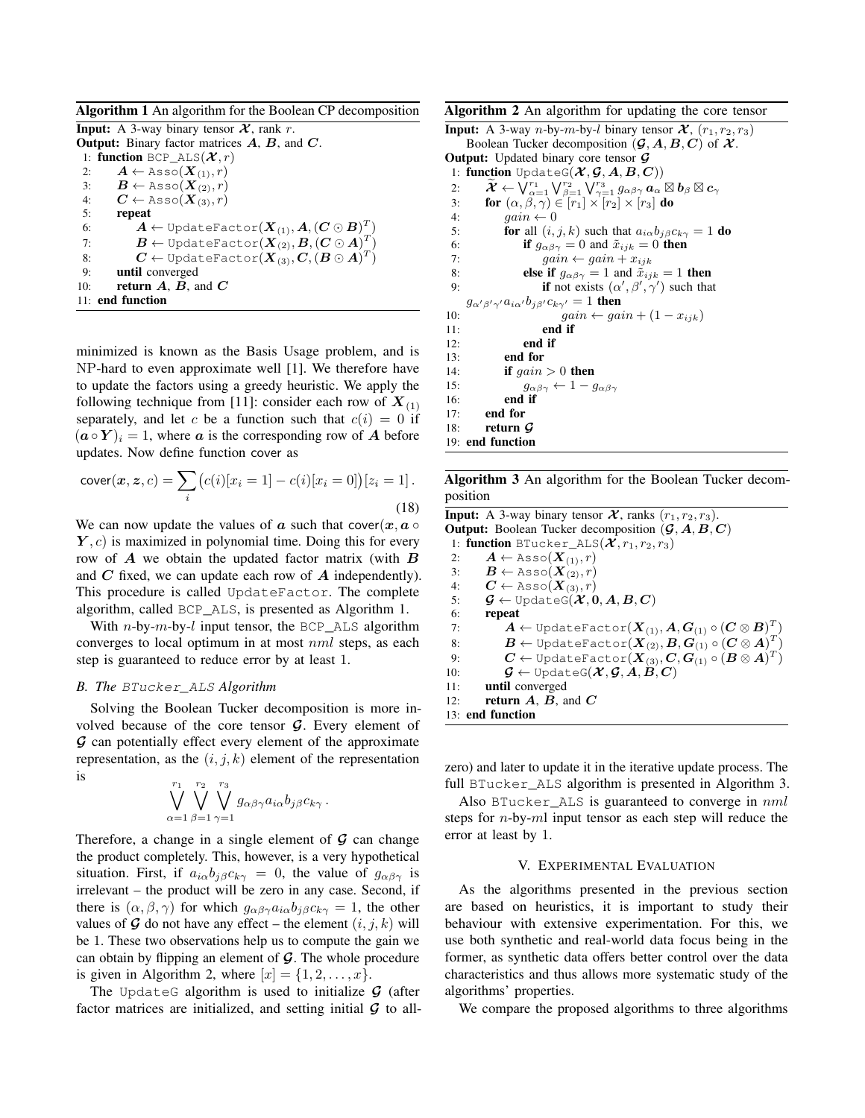Algorithm 1 An algorithm for the Boolean CP decomposition

**Input:** A 3-way binary tensor  $\mathcal{X}$ , rank r. **Output:** Binary factor matrices  $A$ ,  $B$ , and  $C$ . 1: function BCP\_ALS $(\mathcal{X}, r)$ 2:  $\mathbf{A} \leftarrow \text{Assoc}(\mathbf{X}_{(1)}, r)$ <br>3:  $\mathbf{B} \leftarrow \text{Assoc}(\mathbf{X}_{(2)}, r)$  $\bm{B} \leftarrow \texttt{Assoc}(\bm{X}_{(2)}, r)$ 4:  $\mathbf{C} \leftarrow \text{Assoc}(\mathbf{X}_{(3)}^{(3)}, r)$ 5: repeat 6:  $\mathbf{A} \leftarrow \texttt{UpdateFactor}(\boldsymbol{X}_{(1)}, \boldsymbol{A}, (\boldsymbol{C} \odot \boldsymbol{B})^T)$ 7:  $\bm{B} \leftarrow \texttt{UpdateFactor}(\bm{X}_{(2)}, \bm{B}, (\bm{C} \odot \bm{A})^T)$ 8:  $\boldsymbol{C} \leftarrow \texttt{UpdateFactor}(\boldsymbol{X}_{(3)}, \boldsymbol{C}, (\boldsymbol{B} \odot \boldsymbol{A})^T)$ 9: until converged 10: **return A, B, and C** 11: end function

minimized is known as the Basis Usage problem, and is NP-hard to even approximate well [1]. We therefore have to update the factors using a greedy heuristic. We apply the following technique from [11]: consider each row of  $X_{(1)}$ separately, and let c be a function such that  $c(i) = 0$  if  $(a \circ Y)_i = 1$ , where a is the corresponding row of A before updates. Now define function cover as

$$
cover(x, z, c) = \sum_{i} (c(i)[x_i = 1] - c(i)[x_i = 0])[z_i = 1].
$$
\n(18)

We can now update the values of a such that cover $(x, a \circ$  $(Y, c)$  is maximized in polynomial time. Doing this for every row of  $A$  we obtain the updated factor matrix (with  $B$ and  $C$  fixed, we can update each row of  $A$  independently). This procedure is called UpdateFactor. The complete algorithm, called BCP\_ALS, is presented as Algorithm 1.

With *n*-by-*m*-by-*l* input tensor, the BCP ALS algorithm converges to local optimum in at most nml steps, as each step is guaranteed to reduce error by at least 1.

# *B. The* BTucker\_ALS *Algorithm*

Solving the Boolean Tucker decomposition is more involved because of the core tensor  $G$ . Every element of G can potentially effect every element of the approximate representation, as the  $(i, j, k)$  element of the representation is

$$
\bigvee_{\alpha=1}^{r_1}\bigvee_{\beta=1}^{r_2}\bigvee_{\gamma=1}^{r_3}g_{\alpha\beta\gamma}a_{i\alpha}b_{j\beta}c_{k\gamma}.
$$

Therefore, a change in a single element of  $\mathcal G$  can change the product completely. This, however, is a very hypothetical situation. First, if  $a_{i\alpha}b_{j\beta}c_{k\gamma} = 0$ , the value of  $g_{\alpha\beta\gamma}$  is irrelevant – the product will be zero in any case. Second, if there is  $(\alpha, \beta, \gamma)$  for which  $g_{\alpha\beta\gamma}a_{i\alpha}b_{j\beta}c_{k\gamma} = 1$ , the other values of  $\mathcal G$  do not have any effect – the element  $(i, j, k)$  will be 1. These two observations help us to compute the gain we can obtain by flipping an element of  $\mathcal G$ . The whole procedure is given in Algorithm 2, where  $[x] = \{1, 2, \ldots, x\}.$ 

The UpdateG algorithm is used to initialize  $\mathcal G$  (after factor matrices are initialized, and setting initial  $G$  to all-

Algorithm 2 An algorithm for updating the core tensor

```
Input: A 3-way n-by-m-by-l binary tensor \mathcal{X}, (r_1, r_2, r_3)Boolean Tucker decomposition (\mathcal{G}, A, B, C) of \mathcal{X}.
Output: Updated binary core tensor G1: function UpdateG(\mathcal{X}, \mathcal{G}, A, B, C)\widetilde{\mathcal{X}} \leftarrow \bigvee_{\alpha=1}^{r_1} \bigvee_{\beta=1}^{r_2} \bigvee_{\gamma=1}^{r_3} g_{\alpha\beta\gamma} \, \bm{a}_\alpha \boxtimes \bm{b}_\beta \boxtimes \bm{c}_\gamma3: for (\alpha, \beta, \gamma) \in [r_1] \times [r_2] \times [r_3] do
 4: gain \leftarrow 05: for all (i, j, k) such that a_{i\alpha}b_{j\beta}c_{k\gamma} = 1 do
 6: if g_{\alpha\beta\gamma} = 0 and \tilde{x}_{ijk} = 0 then
 7: gain \leftarrow gain + x_{ijk}8: else if g_{\alpha\beta\gamma} = 1 and \tilde{x}_{ijk} = 1 then
  9: if not exists (\alpha', \beta', \gamma') such that
     g_{\alpha'\beta'\gamma'}a_{i\alpha'}b_{j\beta'}c_{k\gamma'}=1 then
10: gain \leftarrow gain + (1 - x_{ijk})11: end if
12: end if
13: end for
14: if gain > 0 then
15: g_{\alpha\beta\gamma} \leftarrow 1 - g_{\alpha\beta\gamma}16: end if
17: end for
18: return G19: end function
```
Algorithm 3 An algorithm for the Boolean Tucker decomposition

**Input:** A 3-way binary tensor  $\mathcal{X}$ , ranks  $(r_1, r_2, r_3)$ . **Output:** Boolean Tucker decomposition  $(\mathcal{G}, A, B, C)$ 1: function BTucker\_ALS $(\mathcal{X}, r_1, r_2, r_3)$ 2:  $\mathbf{A} \leftarrow \text{Assoc}(\mathbf{X}_{(1)}, r)$ 3:  $\mathbf{B} \leftarrow \text{Assoc}(\mathbf{X}_{(2)}, r)$ 4:  $\boldsymbol{C} \leftarrow \text{Assoc}(\boldsymbol{X}_{(3)}, r)$ 5:  $\mathcal{G} \leftarrow \text{UpdateG}(\mathcal{X}, 0, A, B, C)$ 6: repeat 7:  $\bm{A} \leftarrow \texttt{UpdateFactor}(\bm{X}_{(1)}, \bm{A}, \bm{G}_{(1)} \circ (\bm{C} \otimes \bm{B})^T)$ 8:  $\bm{B} \leftarrow \texttt{UpdateFactor}(\bm{X}_{(2)}, \bm{B}, \bm{G}_{(1)} \circ (\bm{C} \otimes \bm{A})^T)$ 9:  $\boldsymbol{C} \leftarrow \texttt{UpdateFactor}(\boldsymbol{X}_{(3)}, \boldsymbol{C}, \boldsymbol{G}_{(1)} \circ (\boldsymbol{B} \otimes \boldsymbol{A})^T)$ 10:  $\mathcal{G} \leftarrow \text{UpdateG}(\mathcal{X}, \mathcal{G}, A, B, C)$ 11: until converged 12: **return**  $A$ ,  $B$ , and  $C$ 13: end function

zero) and later to update it in the iterative update process. The full BTucker\_ALS algorithm is presented in Algorithm 3.

Also BTucker ALS is guaranteed to converge in  $nml$ steps for  $n$ -by- $m$ l input tensor as each step will reduce the error at least by 1.

#### V. EXPERIMENTAL EVALUATION

As the algorithms presented in the previous section are based on heuristics, it is important to study their behaviour with extensive experimentation. For this, we use both synthetic and real-world data focus being in the former, as synthetic data offers better control over the data characteristics and thus allows more systematic study of the algorithms' properties.

We compare the proposed algorithms to three algorithms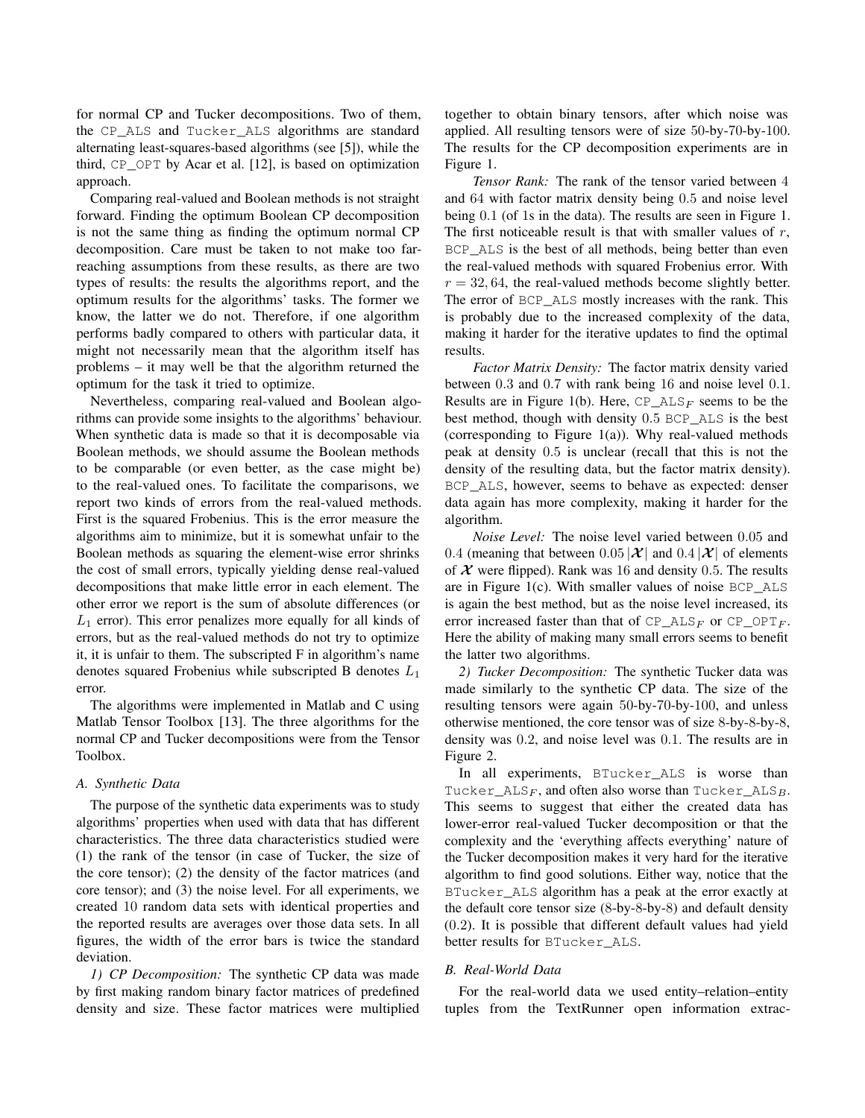for normal CP and Tucker decompositions. Two of them, the CP\_ALS and Tucker\_ALS algorithms are standard alternating least-squares-based algorithms (see [5]), while the third, CP\_OPT by Acar et al. [12], is based on optimization approach.

Comparing real-valued and Boolean methods is not straight forward. Finding the optimum Boolean CP decomposition is not the same thing as finding the optimum normal CP decomposition. Care must be taken to not make too farreaching assumptions from these results, as there are two types of results: the results the algorithms report, and the optimum results for the algorithms' tasks. The former we know, the latter we do not. Therefore, if one algorithm performs badly compared to others with particular data, it might not necessarily mean that the algorithm itself has problems – it may well be that the algorithm returned the optimum for the task it tried to optimize.

Nevertheless, comparing real-valued and Boolean algorithms can provide some insights to the algorithms' behaviour. When synthetic data is made so that it is decomposable via Boolean methods, we should assume the Boolean methods to be comparable (or even better, as the case might be) to the real-valued ones. To facilitate the comparisons, we report two kinds of errors from the real-valued methods. First is the squared Frobenius. This is the error measure the algorithms aim to minimize, but it is somewhat unfair to the Boolean methods as squaring the element-wise error shrinks the cost of small errors, typically yielding dense real-valued decompositions that make little error in each element. The other error we report is the sum of absolute differences (or  $L_1$  error). This error penalizes more equally for all kinds of errors, but as the real-valued methods do not try to optimize it, it is unfair to them. The subscripted F in algorithm's name denotes squared Frobenius while subscripted B denotes  $L_1$ error.

The algorithms were implemented in Matlab and C using Matlab Tensor Toolbox [13]. The three algorithms for the normal CP and Tucker decompositions were from the Tensor Toolbox.

#### *A. Synthetic Data*

The purpose of the synthetic data experiments was to study algorithms' properties when used with data that has different characteristics. The three data characteristics studied were (1) the rank of the tensor (in case of Tucker, the size of the core tensor); (2) the density of the factor matrices (and core tensor); and (3) the noise level. For all experiments, we created 10 random data sets with identical properties and the reported results are averages over those data sets. In all figures, the width of the error bars is twice the standard deviation.

*1) CP Decomposition:* The synthetic CP data was made by first making random binary factor matrices of predefined density and size. These factor matrices were multiplied together to obtain binary tensors, after which noise was applied. All resulting tensors were of size 50-by-70-by-100. The results for the CP decomposition experiments are in Figure 1.

*Tensor Rank:* The rank of the tensor varied between 4 and 64 with factor matrix density being 0.5 and noise level being 0.1 (of 1s in the data). The results are seen in Figure 1. The first noticeable result is that with smaller values of  $r$ , BCP\_ALS is the best of all methods, being better than even the real-valued methods with squared Frobenius error. With  $r = 32, 64$ , the real-valued methods become slightly better. The error of BCP\_ALS mostly increases with the rank. This is probably due to the increased complexity of the data, making it harder for the iterative updates to find the optimal results.

*Factor Matrix Density:* The factor matrix density varied between 0.3 and 0.7 with rank being 16 and noise level 0.1. Results are in Figure 1(b). Here,  $CP\_ALS_F$  seems to be the best method, though with density 0.5 BCP\_ALS is the best (corresponding to Figure 1(a)). Why real-valued methods peak at density 0.5 is unclear (recall that this is not the density of the resulting data, but the factor matrix density). BCP\_ALS, however, seems to behave as expected: denser data again has more complexity, making it harder for the algorithm.

*Noise Level:* The noise level varied between 0.05 and 0.4 (meaning that between 0.05  $|\mathcal{X}|$  and 0.4  $|\mathcal{X}|$  of elements of  $X$  were flipped). Rank was 16 and density 0.5. The results are in Figure 1(c). With smaller values of noise BCP\_ALS is again the best method, but as the noise level increased, its error increased faster than that of  $CP\_ALS_F$  or  $CP\_OPT_F$ . Here the ability of making many small errors seems to benefit the latter two algorithms.

*2) Tucker Decomposition:* The synthetic Tucker data was made similarly to the synthetic CP data. The size of the resulting tensors were again 50-by-70-by-100, and unless otherwise mentioned, the core tensor was of size 8-by-8-by-8, density was 0.2, and noise level was 0.1. The results are in Figure 2.

In all experiments, BTucker\_ALS is worse than Tucker\_ALS<sub>F</sub>, and often also worse than Tucker\_ALS<sub>B</sub>. This seems to suggest that either the created data has lower-error real-valued Tucker decomposition or that the complexity and the 'everything affects everything' nature of the Tucker decomposition makes it very hard for the iterative algorithm to find good solutions. Either way, notice that the BTucker\_ALS algorithm has a peak at the error exactly at the default core tensor size (8-by-8-by-8) and default density (0.2). It is possible that different default values had yield better results for BTucker\_ALS.

## *B. Real-World Data*

For the real-world data we used entity–relation–entity tuples from the TextRunner open information extrac-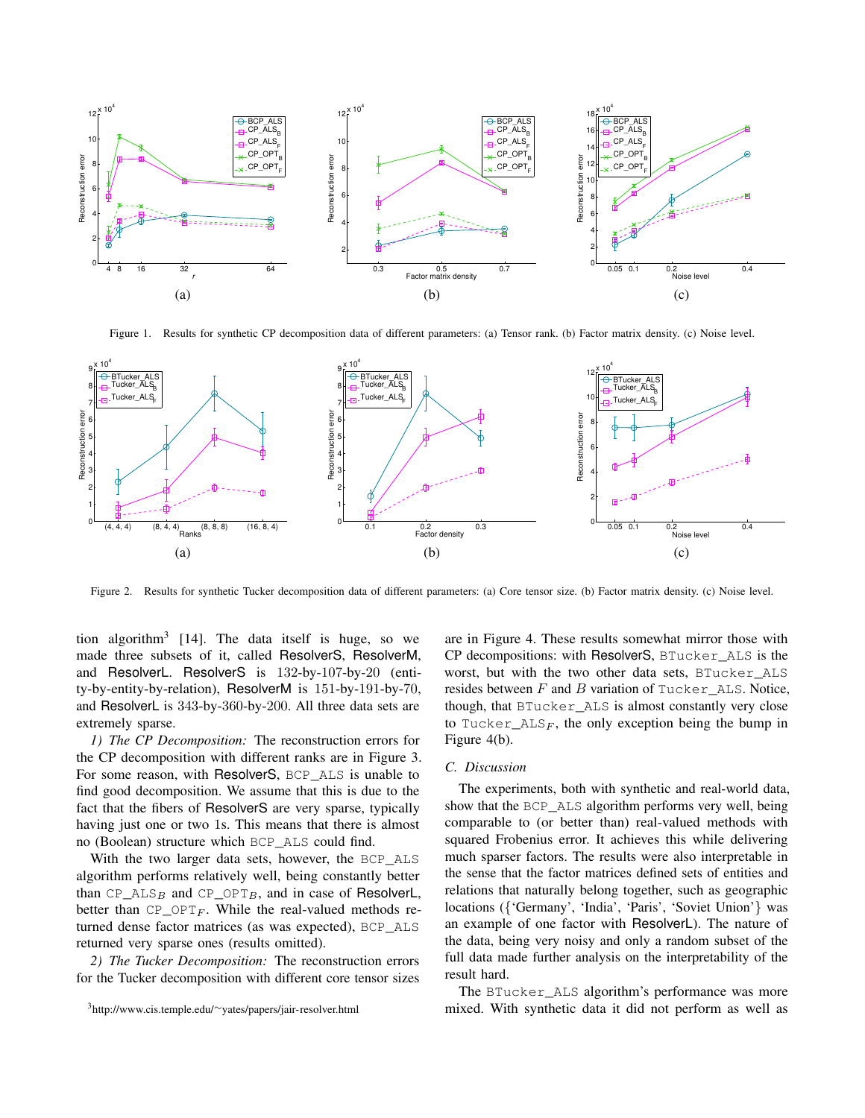

Figure 1. Results for synthetic CP decomposition data of different parameters: (a) Tensor rank. (b) Factor matrix density. (c) Noise level.



Figure 2. Results for synthetic Tucker decomposition data of different parameters: (a) Core tensor size. (b) Factor matrix density. (c) Noise level.

tion algorithm<sup>3</sup> [14]. The data itself is huge, so we made three subsets of it, called ResolverS, ResolverM, and ResolverL. ResolverS is 132-by-107-by-20 (entity-by-entity-by-relation), ResolverM is 151-by-191-by-70, and ResolverL is 343-by-360-by-200. All three data sets are extremely sparse.

*1) The CP Decomposition:* The reconstruction errors for the CP decomposition with different ranks are in Figure 3. For some reason, with ResolverS, BCP\_ALS is unable to find good decomposition. We assume that this is due to the fact that the fibers of ResolverS are very sparse, typically having just one or two 1s. This means that there is almost no (Boolean) structure which BCP\_ALS could find.

With the two larger data sets, however, the BCP ALS algorithm performs relatively well, being constantly better than  $CP\_ALS_B$  and  $CP\_OPT_B$ , and in case of ResolverL, better than  $CP \_{OPTF}$ . While the real-valued methods returned dense factor matrices (as was expected), BCP\_ALS returned very sparse ones (results omitted).

*2) The Tucker Decomposition:* The reconstruction errors for the Tucker decomposition with different core tensor sizes are in Figure 4. These results somewhat mirror those with CP decompositions: with ResolverS, BTucker\_ALS is the worst, but with the two other data sets, BTucker\_ALS resides between  $F$  and  $B$  variation of Tucker ALS. Notice, though, that BTucker\_ALS is almost constantly very close to Tucker\_ALS<sub>F</sub>, the only exception being the bump in Figure 4(b).

## *C. Discussion*

The experiments, both with synthetic and real-world data, show that the BCP\_ALS algorithm performs very well, being comparable to (or better than) real-valued methods with squared Frobenius error. It achieves this while delivering much sparser factors. The results were also interpretable in the sense that the factor matrices defined sets of entities and relations that naturally belong together, such as geographic locations ({'Germany', 'India', 'Paris', 'Soviet Union'} was an example of one factor with ResolverL). The nature of the data, being very noisy and only a random subset of the full data made further analysis on the interpretability of the result hard.

The BTucker\_ALS algorithm's performance was more mixed. With synthetic data it did not perform as well as

<sup>3</sup>http://www.cis.temple.edu/∼yates/papers/jair-resolver.html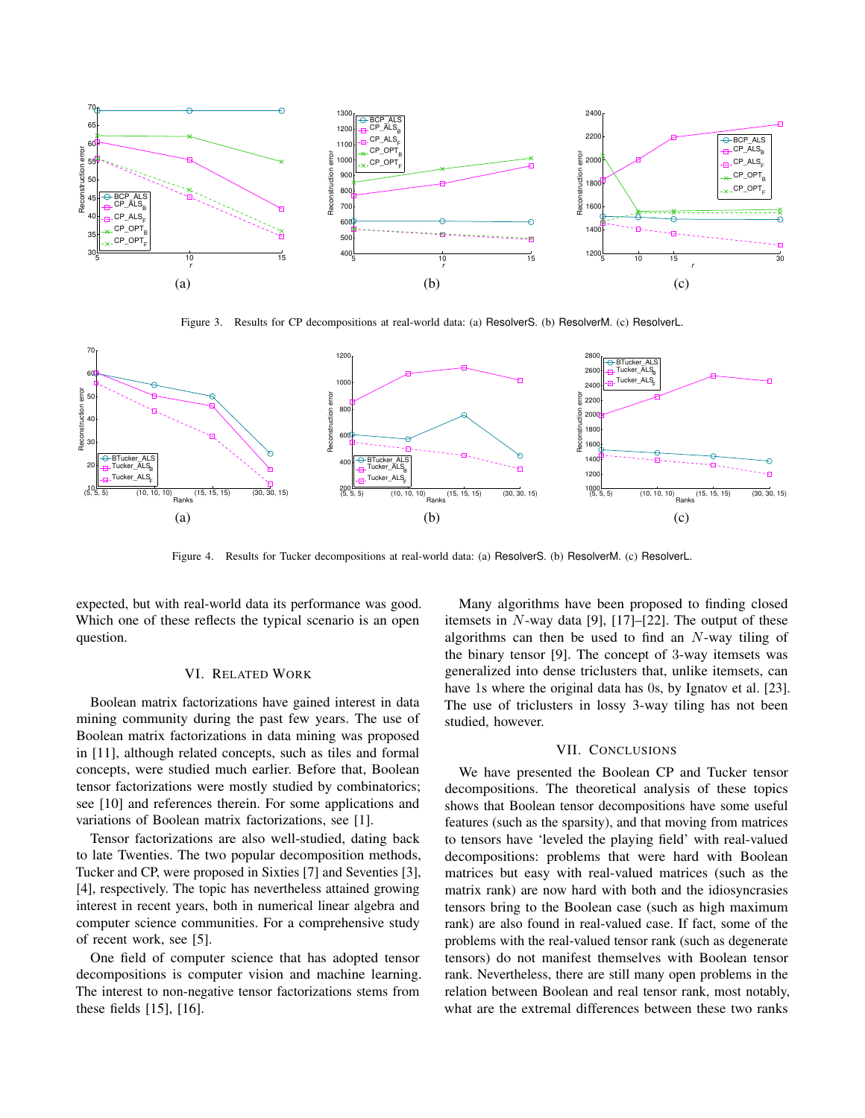

Figure 3. Results for CP decompositions at real-world data: (a) ResolverS. (b) ResolverM. (c) ResolverL.



Figure 4. Results for Tucker decompositions at real-world data: (a) ResolverS. (b) ResolverM. (c) ResolverL.

expected, but with real-world data its performance was good. Which one of these reflects the typical scenario is an open question.

## VI. RELATED WORK

Boolean matrix factorizations have gained interest in data mining community during the past few years. The use of Boolean matrix factorizations in data mining was proposed in [11], although related concepts, such as tiles and formal concepts, were studied much earlier. Before that, Boolean tensor factorizations were mostly studied by combinatorics; see [10] and references therein. For some applications and variations of Boolean matrix factorizations, see [1].

Tensor factorizations are also well-studied, dating back to late Twenties. The two popular decomposition methods, Tucker and CP, were proposed in Sixties [7] and Seventies [3], [4], respectively. The topic has nevertheless attained growing interest in recent years, both in numerical linear algebra and computer science communities. For a comprehensive study of recent work, see [5].

One field of computer science that has adopted tensor decompositions is computer vision and machine learning. The interest to non-negative tensor factorizations stems from these fields [15], [16].

Many algorithms have been proposed to finding closed itemsets in  $N$ -way data [9], [17]–[22]. The output of these algorithms can then be used to find an  $N$ -way tiling of the binary tensor [9]. The concept of 3-way itemsets was generalized into dense triclusters that, unlike itemsets, can have 1s where the original data has 0s, by Ignatov et al. [23]. The use of triclusters in lossy 3-way tiling has not been studied, however.

## VII. CONCLUSIONS

We have presented the Boolean CP and Tucker tensor decompositions. The theoretical analysis of these topics shows that Boolean tensor decompositions have some useful features (such as the sparsity), and that moving from matrices to tensors have 'leveled the playing field' with real-valued decompositions: problems that were hard with Boolean matrices but easy with real-valued matrices (such as the matrix rank) are now hard with both and the idiosyncrasies tensors bring to the Boolean case (such as high maximum rank) are also found in real-valued case. If fact, some of the problems with the real-valued tensor rank (such as degenerate tensors) do not manifest themselves with Boolean tensor rank. Nevertheless, there are still many open problems in the relation between Boolean and real tensor rank, most notably, what are the extremal differences between these two ranks